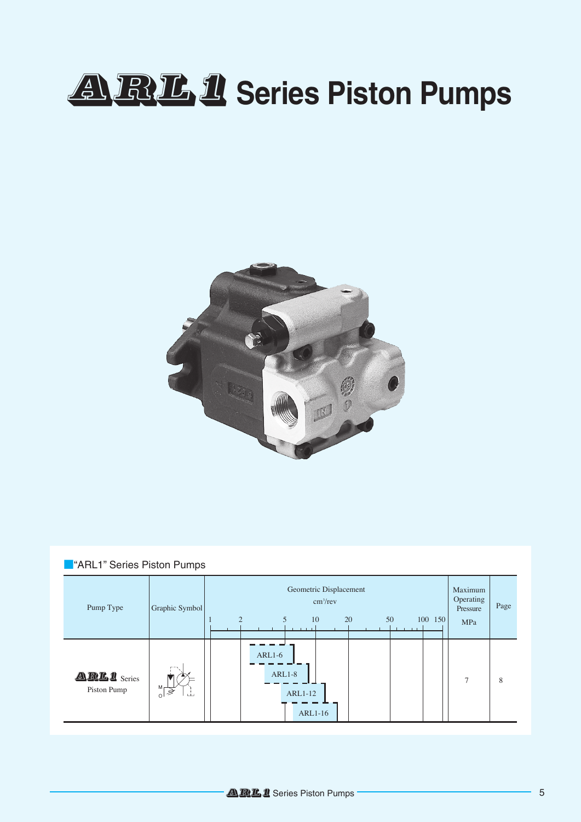# ARL1 Series Piston Pumps



| <b>ARL1</b> " Series Piston Pumps |                                                   |                                                                                                    |                                                |      |  |  |  |
|-----------------------------------|---------------------------------------------------|----------------------------------------------------------------------------------------------------|------------------------------------------------|------|--|--|--|
| Pump Type                         | Graphic Symbol                                    | Geometric Displacement<br>cm <sup>3</sup> /rev<br>5<br>$\mathfrak{D}$<br>20<br>50<br>10<br>100 150 | Maximum<br>Operating<br>Pressure<br><b>MPa</b> | Page |  |  |  |
| ARL1 Series<br>Piston Pump        | $M_{\Gamma}$<br>, Š<br>ىك<br>$\circ$ <sup>1</sup> | $ARL1-6$<br>$ARL1-8$<br><b>ARL1-12</b><br><b>ARL1-16</b>                                           | 7                                              | 8    |  |  |  |

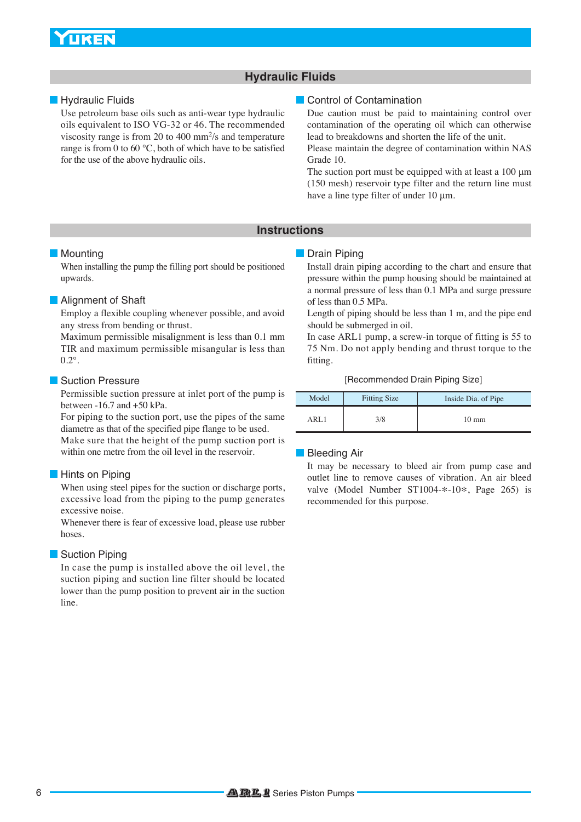### **UKEN**

### **Hydraulic Fluids**

Use petroleum base oils such as anti-wear type hydraulic oils equivalent to ISO VG-32 or 46. The recommended viscosity range is from 20 to 400 mm2/s and temperature range is from 0 to 60 °C, both of which have to be satisfied for the use of the above hydraulic oils.

### **Example 20 Hydraulic Fluids** Contamination Contamination Contamination

Due caution must be paid to maintaining control over contamination of the operating oil which can otherwise lead to breakdowns and shorten the life of the unit.

Please maintain the degree of contamination within NAS Grade 10.

The suction port must be equipped with at least a 100 μm (150 mesh) reservoir type filter and the return line must have a line type filter of under 10 μm.

### **Instructions**

When installing the pump the filling port should be positioned upwards.

### **Alignment of Shaft**

Employ a flexible coupling whenever possible, and avoid any stress from bending or thrust.

Maximum permissible misalignment is less than 0.1 mm TIR and maximum permissible misangular is less than  $0.2^\circ$ .

### **Suction Pressure**

Permissible suction pressure at inlet port of the pump is between -16.7 and +50 kPa.

For piping to the suction port, use the pipes of the same diametre as that of the specified pipe flange to be used.

Make sure that the height of the pump suction port is within one metre from the oil level in the reservoir.

### **Hints on Piping**

When using steel pipes for the suction or discharge ports, excessive load from the piping to the pump generates excessive noise.

Whenever there is fear of excessive load, please use rubber hoses.

### **Suction Piping**

In case the pump is installed above the oil level, the suction piping and suction line filter should be located lower than the pump position to prevent air in the suction line.

### **Mounting Community Community Community Community Community Community Community Community Community Community Community Community Community Community Community Community Community Community Community Community Community Co**

Install drain piping according to the chart and ensure that pressure within the pump housing should be maintained at a normal pressure of less than 0.1 MPa and surge pressure of less than 0.5 MPa.

Length of piping should be less than 1 m, and the pipe end should be submerged in oil.

In case ARL1 pump, a screw-in torque of fitting is 55 to 75 Nm. Do not apply bending and thrust torque to the fitting.

[Recommended Drain Piping Size]

| Model | <b>Fitting Size</b> | Inside Dia. of Pipe |
|-------|---------------------|---------------------|
| ARL 1 | 3/8                 | $10 \text{ mm}$     |

### **Bleeding Air**

It may be necessary to bleed air from pump case and outlet line to remove causes of vibration. An air bleed valve (Model Number ST1004-\*-10\*, Page 265) is recommended for this purpose.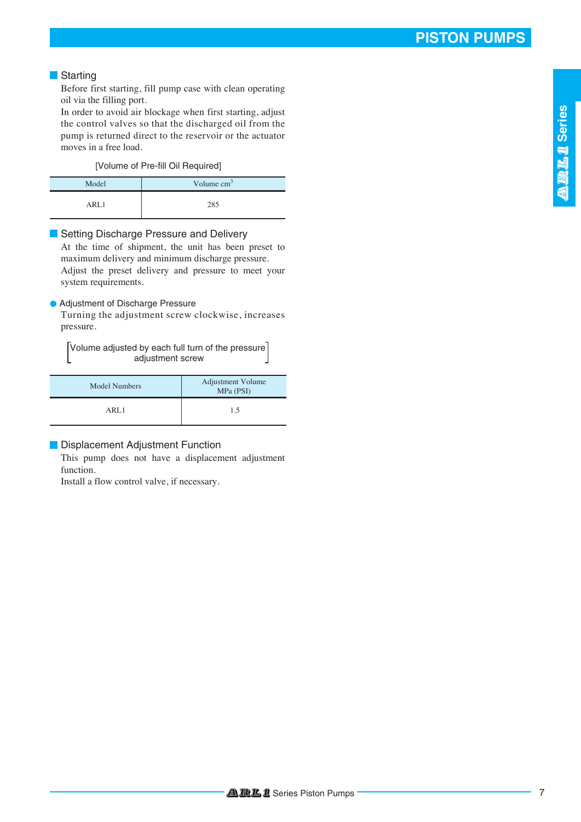### **Starting**

Before first starting, fill pump case with clean operating oil via the filling port.

In order to avoid air blockage when first starting, adjust the control valves so that the discharged oil from the pump is returned direct to the reservoir or the actuator moves in a free load.

[Volume of Pre-fill Oil Required]

| Model | Volume $cm3$ |  |  |
|-------|--------------|--|--|
| API1  | 285          |  |  |

### Setting Discharge Pressure and Delivery

At the time of shipment, the unit has been preset to maximum delivery and minimum discharge pressure. Adjust the preset delivery and pressure to meet your system requirements.

### Adjustment of Discharge Pressure

Turning the adjustment screw clockwise, increases pressure.

Volume adjusted by each full turn of the pressure adjustment screw

| Model Numbers | <b>Adjustment Volume</b><br>MPa (PSI) |  |  |
|---------------|---------------------------------------|--|--|
| ARL1          | 1.5                                   |  |  |

### **Displacement Adjustment Function**

This pump does not have a displacement adjustment function.

Install a flow control valve, if necessary.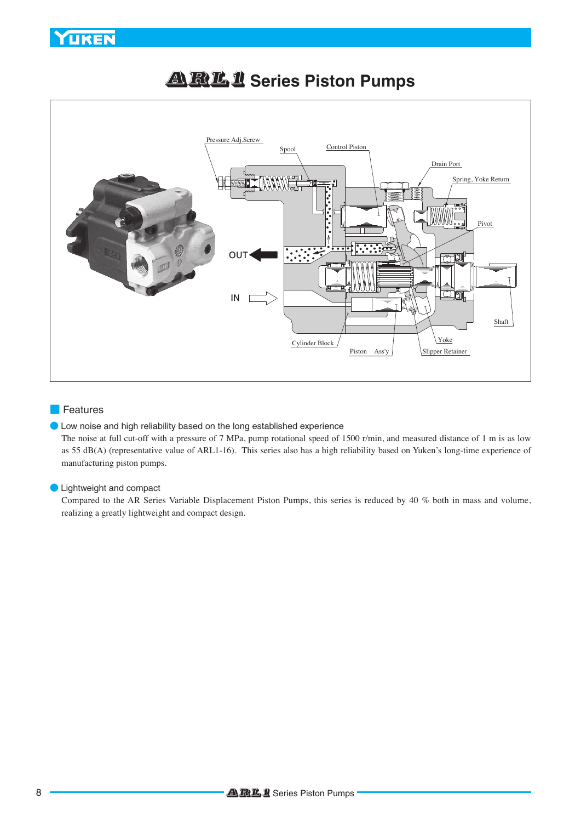### **YUKEN**



## ARL1 **Series Piston Pumps**

### ■ Features

### ● Low noise and high reliability based on the long established experience

The noise at full cut-off with a pressure of 7 MPa, pump rotational speed of 1500 r/min, and measured distance of 1 m is as low as 55 dB(A) (representative value of ARL1-16). This series also has a high reliability based on Yuken's long-time experience of manufacturing piston pumps.

### **D** Lightweight and compact

Compared to the AR Series Variable Displacement Piston Pumps, this series is reduced by 40 % both in mass and volume, realizing a greatly lightweight and compact design.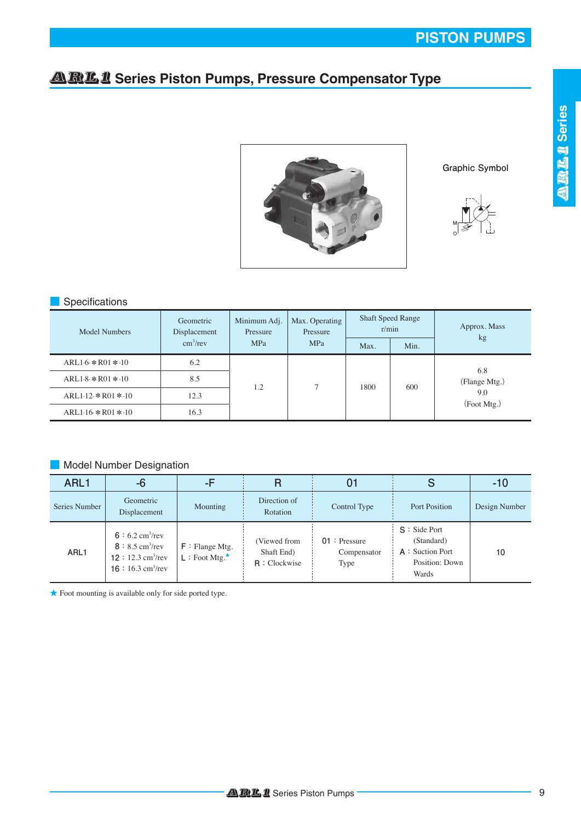### **ARL1** Series Piston Pumps, Pressure Compensator Type



**Graphic Symbol**



### ■ Specifications

| Model Numbers        | Geometric<br>Displacement | Minimum Adj.<br>Pressure<br><b>MPa</b> | Max. Operating<br>Pressure<br><b>MPa</b> | <b>Shaft Speed Range</b><br>r/min |      | Approx. Mass                               |
|----------------------|---------------------------|----------------------------------------|------------------------------------------|-----------------------------------|------|--------------------------------------------|
|                      | $\text{cm}^3/\text{rev}$  |                                        |                                          | Max.                              | Min. | kg                                         |
| $ARL16 * R01 * 10$   | 6.2                       | 1.2                                    |                                          | 1800                              | 600  | 6.8<br>(Flange Mtg.)<br>9.0<br>(Foot Mtg.) |
| $ARL1.8 * R01 * 10$  | 8.5                       |                                        | ∍                                        |                                   |      |                                            |
| $ARL1.12 * R01 * 10$ | 12.3                      |                                        |                                          |                                   |      |                                            |
| $ARL1.16 * R01 * 10$ | 16.3                      |                                        |                                          |                                   |      |                                            |

### ■ Model Number Designation

| ARL1          | -6                                                                                                                                 | -F                                                |                                              | 01                                    |                                                                              | $-10$         |
|---------------|------------------------------------------------------------------------------------------------------------------------------------|---------------------------------------------------|----------------------------------------------|---------------------------------------|------------------------------------------------------------------------------|---------------|
| Series Number | Geometric<br>Displacement                                                                                                          | Mounting                                          | Direction of<br>Rotation                     | Control Type                          | Port Position                                                                | Design Number |
| ARL1          | 6 : 6.2 cm <sup>3</sup> /rev<br>$8: 8.5$ cm <sup>3</sup> /rev<br>$12: 12.3$ cm <sup>3</sup> /rev<br>16 : 16.3 cm <sup>3</sup> /rev | $F :$ Flange Mtg.<br>$L :$ Foot Mtg. <sup>*</sup> | (Viewed from<br>Shaft End)<br>$R:$ Clockwise | $01:$ Pressure<br>Compensator<br>Type | $S : Side$ Port<br>(Standard)<br>A : Suction Port<br>Position: Down<br>Wards | 10            |

**★** Foot mounting is available only for side ported type.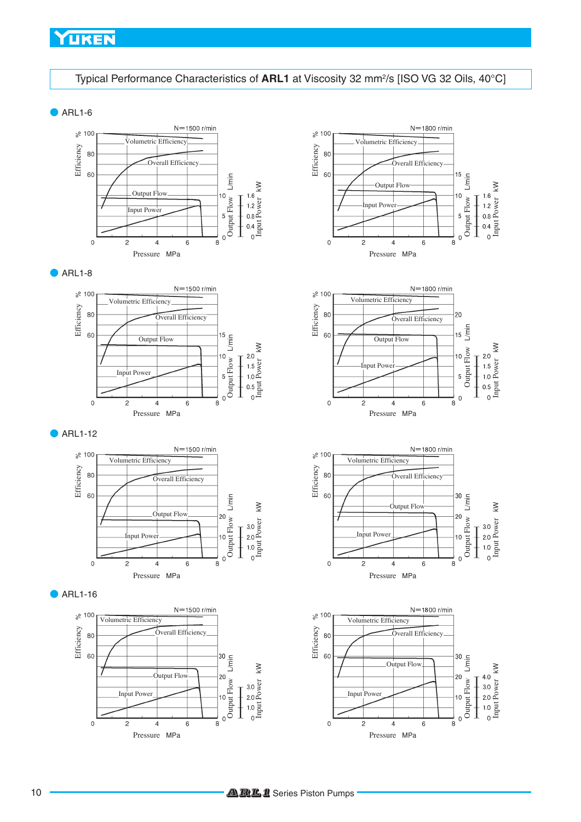### YUKEN

### Typical Performance Characteristics of **ARL1** at Viscosity 32 mm<sup>2</sup>/s [ISO VG 32 Oils, 40°C]

 $\blacktriangleright$  ARL1-6











 $\bullet$  ARL1-16









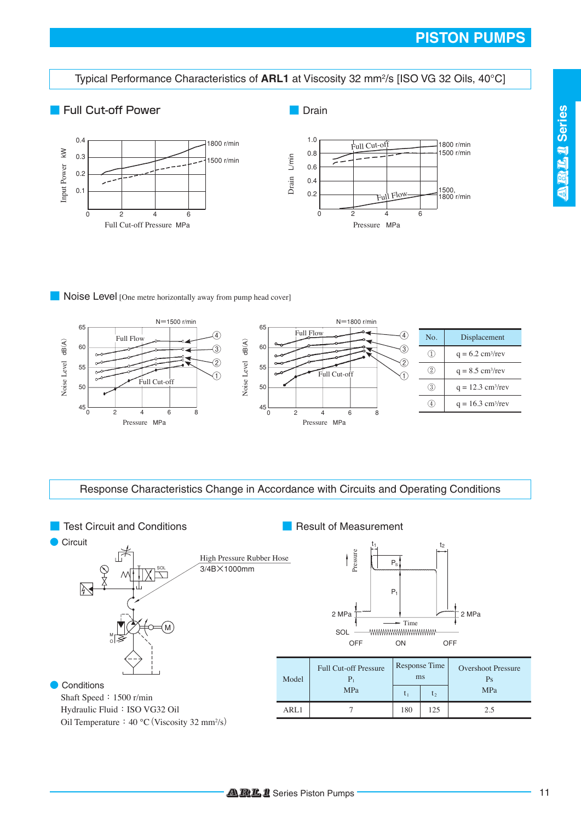### **PISTON PUMPS**

Typical Performance Characteristics of **ARL1** at Viscosity 32 mm<sup>2</sup>/s [ISO VG 32 Oils, 40°C]

### ■ Full Cut-off Power

■ Drain





### ■ **Noise Level** [One metre horizontally away from pump head cover]



Response Characteristics Change in Accordance with Circuits and Operating Conditions

**Test Circuit and Conditions** ■ Result of Measurement ● Circuit  $t_1$  t<sub>2</sub> Pressure F High Pressure Rubber Hose  $\mathbf{f}$ P. 3/4B×1000mm XI P1  $2 MPa$   $\overline{)}$   $\overline{)}$   $2 MPa$ Time<br>/www.wwwwwwwww M SOL M OFF ON OFF O Response Time Full Cut-off Pressure Overshoot Pressure ms Model  $P_1$ Ps **Conditions** MPa  $\begin{array}{|c|c|c|c|}\n\hline\n t_1 & t_2 & \end{array}$  MPa Shaft Speed**:**1500 r/min Hydraulic Fluid**:**ISO VG32 Oil ARL1 | 7 | 180 | 125 | 2.5 Oil Temperature**:**40 ℃**(**Viscosity 32 mm2 /s**)**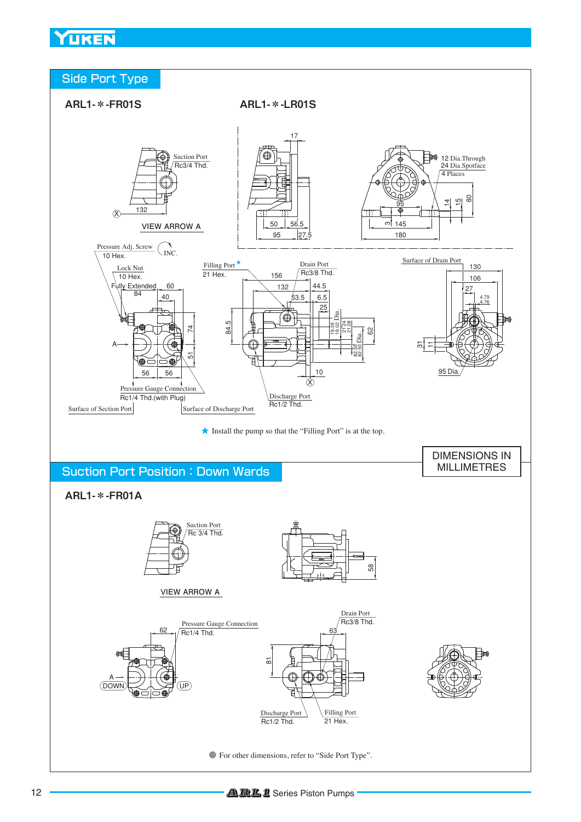### YUKEN



**●** For other dimensions, refer to "Side Port Type".

Discharge Port Rc1/2 Thd.

Filling Port  $21$  Hex.